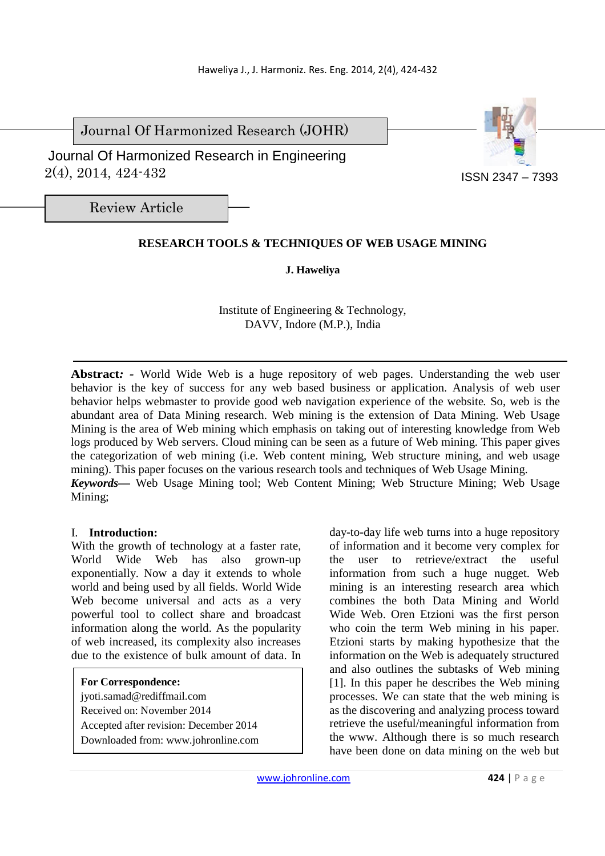Journal Of Harmonized Research (JOHR)

 2(4), 2014, 424-432 Journal Of Harmonized Research in Engineering



Review Article

# **RESEARCH TOOLS & TECHNIQUES OF WEB USAGE MINING**

### **J. Haweliya**

Institute of Engineering & Technology, DAVV, Indore (M.P.), India

**Abstract***: -* World Wide Web is a huge repository of web pages. Understanding the web user behavior is the key of success for any web based business or application. Analysis of web user behavior helps webmaster to provide good web navigation experience of the website*.* So, web is the abundant area of Data Mining research. Web mining is the extension of Data Mining. Web Usage Mining is the area of Web mining which emphasis on taking out of interesting knowledge from Web logs produced by Web servers. Cloud mining can be seen as a future of Web mining. This paper gives the categorization of web mining (i.e. Web content mining, Web structure mining, and web usage mining). This paper focuses on the various research tools and techniques of Web Usage Mining. *Keywords—* Web Usage Mining tool; Web Content Mining; Web Structure Mining; Web Usage Mining;

#### I. **Introduction:**

With the growth of technology at a faster rate, World Wide Web has also grown-up exponentially. Now a day it extends to whole world and being used by all fields. World Wide Web become universal and acts as a very powerful tool to collect share and broadcast information along the world. As the popularity of web increased, its complexity also increases due to the existence of bulk amount of data. In

- **For Correspondence:**
- jyoti.samad@rediffmail.com
- Received on: November 2014
- Accepted after revision: December 2014
- Downloaded from: www.johronline.com

day-to-day life web turns into a huge repository of information and it become very complex for the user to retrieve/extract the useful information from such a huge nugget. Web mining is an interesting research area which combines the both Data Mining and World Wide Web. Oren Etzioni was the first person who coin the term Web mining in his paper. Etzioni starts by making hypothesize that the information on the Web is adequately structured and also outlines the subtasks of Web mining [1]. In this paper he describes the Web mining processes. We can state that the web mining is as the discovering and analyzing process toward retrieve the useful/meaningful information from the www. Although there is so much research have been done on data mining on the web but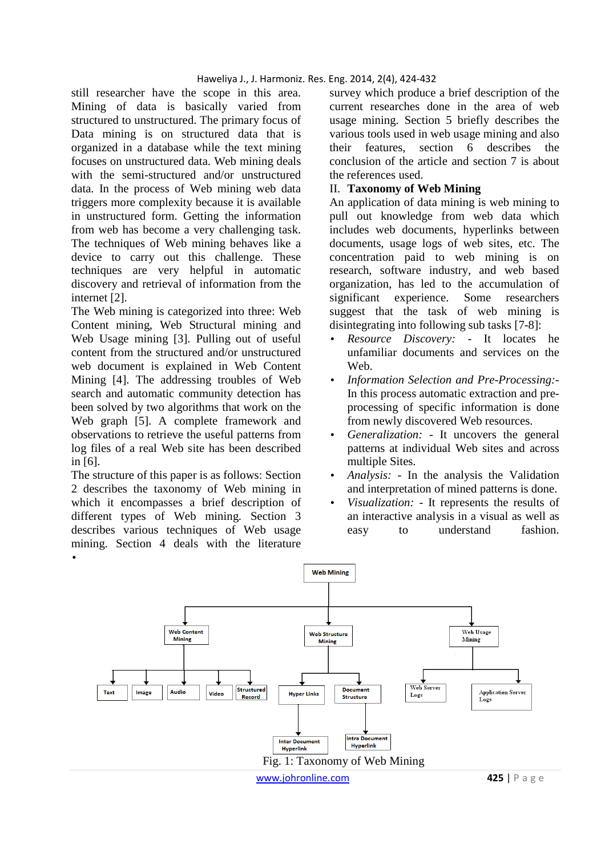#### Haweliya J., J. Harmoniz. Res. Eng. 2014, 2(4), 424-432

still researcher have the scope in this area. Mining of data is basically varied from structured to unstructured. The primary focus of Data mining is on structured data that is organized in a database while the text mining focuses on unstructured data. Web mining deals with the semi-structured and/or unstructured data. In the process of Web mining web data triggers more complexity because it is available in unstructured form. Getting the information from web has become a very challenging task. The techniques of Web mining behaves like a device to carry out this challenge. These techniques are very helpful in automatic discovery and retrieval of information from the internet [2].

The Web mining is categorized into three: Web Content mining, Web Structural mining and Web Usage mining [3]. Pulling out of useful content from the structured and/or unstructured web document is explained in Web Content Mining [4]. The addressing troubles of Web search and automatic community detection has been solved by two algorithms that work on the Web graph [5]. A complete framework and observations to retrieve the useful patterns from log files of a real Web site has been described in [6].

The structure of this paper is as follows: Section 2 describes the taxonomy of Web mining in which it encompasses a brief description of different types of Web mining. Section 3 describes various techniques of Web usage mining. Section 4 deals with the literature •

survey which produce a brief description of the current researches done in the area of web usage mining. Section 5 briefly describes the various tools used in web usage mining and also their features, section 6 describes the conclusion of the article and section 7 is about the references used.

#### II. **Taxonomy of Web Mining**

An application of data mining is web mining to pull out knowledge from web data which includes web documents, hyperlinks between documents, usage logs of web sites, etc. The concentration paid to web mining is on research, software industry, and web based organization, has led to the accumulation of significant experience. Some researchers suggest that the task of web mining is disintegrating into following sub tasks [7-8]:

- *Resource Discovery:* It locates he unfamiliar documents and services on the Web.
- *Information Selection and Pre-Processing:-*  In this process automatic extraction and preprocessing of specific information is done from newly discovered Web resources.
- *Generalization: -* It uncovers the general patterns at individual Web sites and across multiple Sites.
- *Analysis: -* In the analysis the Validation and interpretation of mined patterns is done.
- *Visualization: -* It represents the results of an interactive analysis in a visual as well as easy to understand fashion.

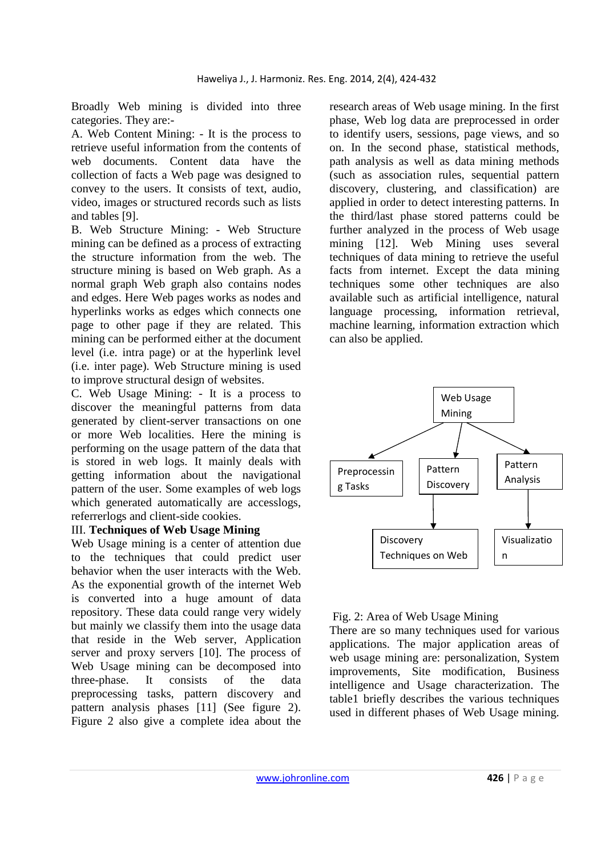Broadly Web mining is divided into three categories. They are:-

A. Web Content Mining: - It is the process to retrieve useful information from the contents of web documents. Content data have the collection of facts a Web page was designed to convey to the users. It consists of text, audio, video, images or structured records such as lists and tables [9].

B. Web Structure Mining: - Web Structure mining can be defined as a process of extracting the structure information from the web. The structure mining is based on Web graph. As a normal graph Web graph also contains nodes and edges. Here Web pages works as nodes and hyperlinks works as edges which connects one page to other page if they are related. This mining can be performed either at the document level (i.e. intra page) or at the hyperlink level (i.e. inter page). Web Structure mining is used to improve structural design of websites.

C. Web Usage Mining: - It is a process to discover the meaningful patterns from data generated by client-server transactions on one or more Web localities. Here the mining is performing on the usage pattern of the data that is stored in web logs. It mainly deals with getting information about the navigational pattern of the user. Some examples of web logs which generated automatically are accesslogs, referrerlogs and client-side cookies.

#### III. **Techniques of Web Usage Mining**

Web Usage mining is a center of attention due to the techniques that could predict user behavior when the user interacts with the Web. As the exponential growth of the internet Web is converted into a huge amount of data repository. These data could range very widely but mainly we classify them into the usage data that reside in the Web server, Application server and proxy servers [10]. The process of Web Usage mining can be decomposed into three-phase. It consists of the data preprocessing tasks, pattern discovery and pattern analysis phases [11] (See figure 2). Figure 2 also give a complete idea about the

research areas of Web usage mining. In the first phase, Web log data are preprocessed in order to identify users, sessions, page views, and so on. In the second phase, statistical methods, path analysis as well as data mining methods (such as association rules, sequential pattern discovery, clustering, and classification) are applied in order to detect interesting patterns. In the third/last phase stored patterns could be further analyzed in the process of Web usage mining [12]. Web Mining uses several techniques of data mining to retrieve the useful facts from internet. Except the data mining techniques some other techniques are also available such as artificial intelligence, natural language processing, information retrieval, machine learning, information extraction which can also be applied.



#### Fig. 2: Area of Web Usage Mining

There are so many techniques used for various applications. The major application areas of web usage mining are: personalization, System improvements, Site modification, Business intelligence and Usage characterization. The table1 briefly describes the various techniques used in different phases of Web Usage mining.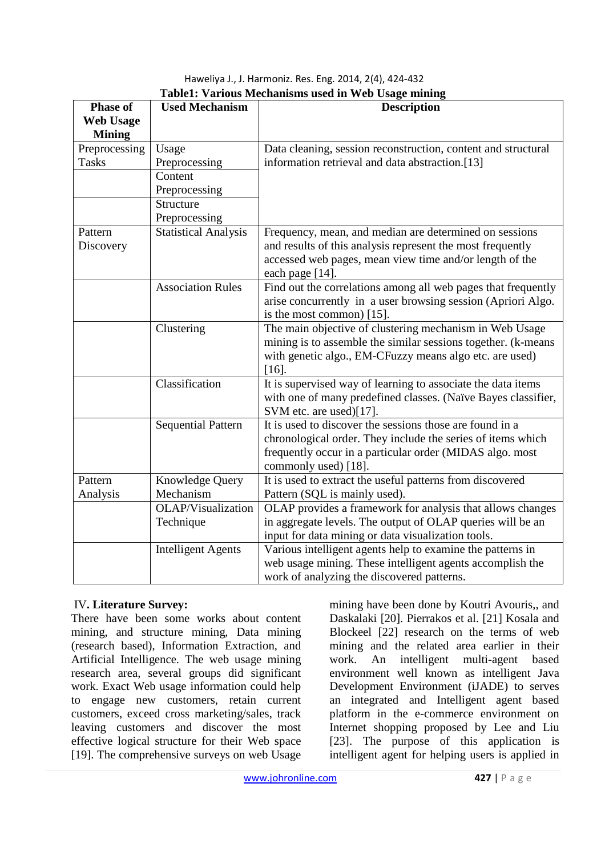Haweliya J., J. Harmoniz. Res. Eng. 2014, 2(4), 424-432 **Table1: Various Mechanisms used in Web Usage mining**

| <b>Phase of</b>  | <b>Used Mechanism</b>       | <b>Description</b>                                            |  |  |
|------------------|-----------------------------|---------------------------------------------------------------|--|--|
| <b>Web Usage</b> |                             |                                                               |  |  |
| <b>Mining</b>    |                             |                                                               |  |  |
| Preprocessing    | Usage                       | Data cleaning, session reconstruction, content and structural |  |  |
| <b>Tasks</b>     | Preprocessing               | information retrieval and data abstraction.[13]               |  |  |
|                  | Content                     |                                                               |  |  |
|                  | Preprocessing               |                                                               |  |  |
|                  | Structure                   |                                                               |  |  |
|                  | Preprocessing               |                                                               |  |  |
| Pattern          | <b>Statistical Analysis</b> | Frequency, mean, and median are determined on sessions        |  |  |
| Discovery        |                             | and results of this analysis represent the most frequently    |  |  |
|                  |                             | accessed web pages, mean view time and/or length of the       |  |  |
|                  |                             | each page [14].                                               |  |  |
|                  | <b>Association Rules</b>    | Find out the correlations among all web pages that frequently |  |  |
|                  |                             | arise concurrently in a user browsing session (Apriori Algo.  |  |  |
|                  |                             | is the most common) [15].                                     |  |  |
|                  | Clustering                  | The main objective of clustering mechanism in Web Usage       |  |  |
|                  |                             | mining is to assemble the similar sessions together. (k-means |  |  |
|                  |                             | with genetic algo., EM-CFuzzy means algo etc. are used)       |  |  |
|                  |                             | $[16]$ .                                                      |  |  |
| Classification   |                             | It is supervised way of learning to associate the data items  |  |  |
|                  |                             | with one of many predefined classes. (Naïve Bayes classifier, |  |  |
|                  |                             | SVM etc. are used)[17].                                       |  |  |
|                  | <b>Sequential Pattern</b>   | It is used to discover the sessions those are found in a      |  |  |
|                  |                             | chronological order. They include the series of items which   |  |  |
|                  |                             | frequently occur in a particular order (MIDAS algo. most      |  |  |
|                  |                             | commonly used) [18].                                          |  |  |
| Pattern          | Knowledge Query             | It is used to extract the useful patterns from discovered     |  |  |
| Analysis         | Mechanism                   | Pattern (SQL is mainly used).                                 |  |  |
|                  | <b>OLAP/Visualization</b>   | OLAP provides a framework for analysis that allows changes    |  |  |
|                  | Technique                   | in aggregate levels. The output of OLAP queries will be an    |  |  |
|                  |                             | input for data mining or data visualization tools.            |  |  |
|                  | <b>Intelligent Agents</b>   | Various intelligent agents help to examine the patterns in    |  |  |
|                  |                             | web usage mining. These intelligent agents accomplish the     |  |  |
|                  |                             | work of analyzing the discovered patterns.                    |  |  |

# IV**. Literature Survey:**

There have been some works about content mining, and structure mining, Data mining (research based), Information Extraction, and Artificial Intelligence. The web usage mining research area, several groups did significant work. Exact Web usage information could help to engage new customers, retain current customers, exceed cross marketing/sales, track leaving customers and discover the most effective logical structure for their Web space [19]. The comprehensive surveys on web Usage

mining have been done by Koutri Avouris,, and Daskalaki [20]. Pierrakos et al. [21] Kosala and Blockeel [22] research on the terms of web mining and the related area earlier in their work. An intelligent multi-agent based environment well known as intelligent Java Development Environment (iJADE) to serves an integrated and Intelligent agent based platform in the e-commerce environment on Internet shopping proposed by Lee and Liu [23]. The purpose of this application is intelligent agent for helping users is applied in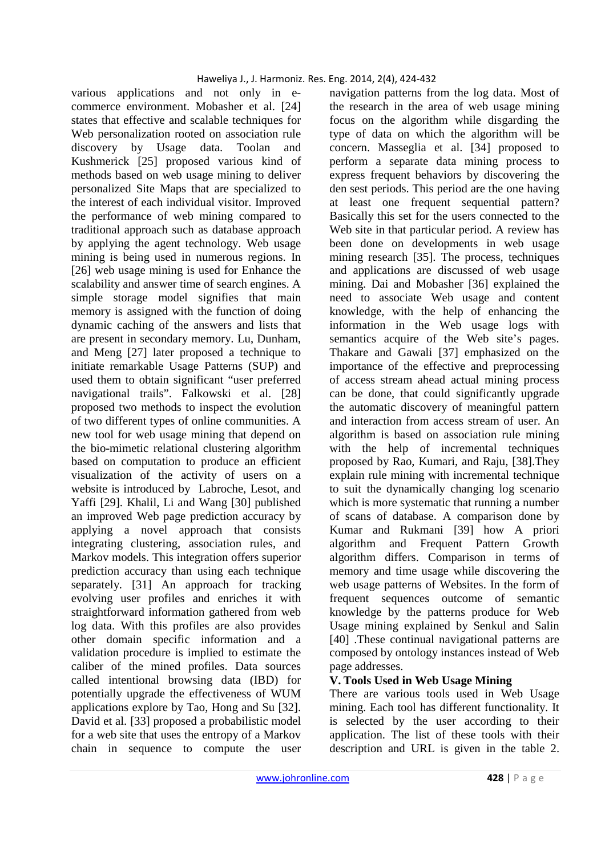various applications and not only in ecommerce environment. Mobasher et al. [24] states that effective and scalable techniques for Web personalization rooted on association rule discovery by Usage data. Toolan and Kushmerick [25] proposed various kind of methods based on web usage mining to deliver personalized Site Maps that are specialized to the interest of each individual visitor. Improved the performance of web mining compared to traditional approach such as database approach by applying the agent technology. Web usage mining is being used in numerous regions. In [26] web usage mining is used for Enhance the scalability and answer time of search engines. A simple storage model signifies that main memory is assigned with the function of doing dynamic caching of the answers and lists that are present in secondary memory. Lu, Dunham, and Meng [27] later proposed a technique to initiate remarkable Usage Patterns (SUP) and used them to obtain significant "user preferred navigational trails". Falkowski et al. [28] proposed two methods to inspect the evolution of two different types of online communities. A new tool for web usage mining that depend on the bio-mimetic relational clustering algorithm based on computation to produce an efficient visualization of the activity of users on a website is introduced by Labroche, Lesot, and Yaffi [29]. Khalil, Li and Wang [30] published an improved Web page prediction accuracy by applying a novel approach that consists integrating clustering, association rules, and Markov models. This integration offers superior prediction accuracy than using each technique separately. [31] An approach for tracking evolving user profiles and enriches it with straightforward information gathered from web log data. With this profiles are also provides other domain specific information and a validation procedure is implied to estimate the caliber of the mined profiles. Data sources called intentional browsing data (IBD) for potentially upgrade the effectiveness of WUM applications explore by Tao, Hong and Su [32]. David et al. [33] proposed a probabilistic model for a web site that uses the entropy of a Markov chain in sequence to compute the user

navigation patterns from the log data. Most of the research in the area of web usage mining focus on the algorithm while disgarding the type of data on which the algorithm will be concern. Masseglia et al. [34] proposed to perform a separate data mining process to express frequent behaviors by discovering the den sest periods. This period are the one having at least one frequent sequential pattern? Basically this set for the users connected to the Web site in that particular period. A review has been done on developments in web usage mining research [35]. The process, techniques and applications are discussed of web usage mining. Dai and Mobasher [36] explained the need to associate Web usage and content knowledge, with the help of enhancing the information in the Web usage logs with semantics acquire of the Web site's pages. Thakare and Gawali [37] emphasized on the importance of the effective and preprocessing of access stream ahead actual mining process can be done, that could significantly upgrade the automatic discovery of meaningful pattern and interaction from access stream of user. An algorithm is based on association rule mining with the help of incremental techniques proposed by Rao, Kumari, and Raju, [38].They explain rule mining with incremental technique to suit the dynamically changing log scenario which is more systematic that running a number of scans of database. A comparison done by Kumar and Rukmani [39] how A priori algorithm and Frequent Pattern Growth algorithm differs. Comparison in terms of memory and time usage while discovering the web usage patterns of Websites. In the form of frequent sequences outcome of semantic knowledge by the patterns produce for Web Usage mining explained by Senkul and Salin [40] .These continual navigational patterns are composed by ontology instances instead of Web page addresses.

#### **V. Tools Used in Web Usage Mining**

There are various tools used in Web Usage mining. Each tool has different functionality. It is selected by the user according to their application. The list of these tools with their description and URL is given in the table 2.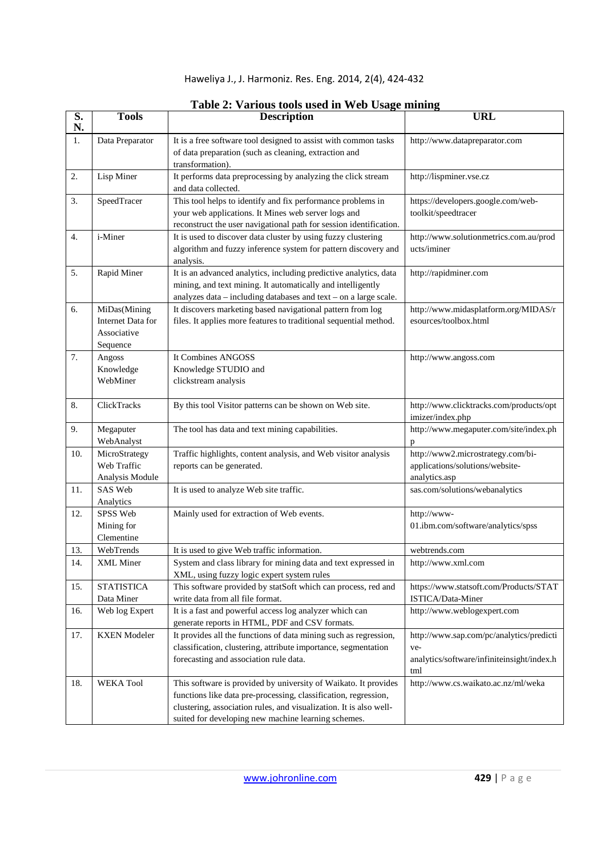| Haweliya J., J. Harmoniz. Res. Eng. 2014, 2(4), 424-432 |  |  |  |  |
|---------------------------------------------------------|--|--|--|--|
|---------------------------------------------------------|--|--|--|--|

| $\overline{\mathbf{S}}$ .<br>N. | <b>Tools</b>                                                 | <b>Description</b>                                                                                                                                                                                                                                              | <b>URL</b>                                                                                           |  |
|---------------------------------|--------------------------------------------------------------|-----------------------------------------------------------------------------------------------------------------------------------------------------------------------------------------------------------------------------------------------------------------|------------------------------------------------------------------------------------------------------|--|
| 1.                              | Data Preparator                                              | It is a free software tool designed to assist with common tasks<br>of data preparation (such as cleaning, extraction and<br>transformation).                                                                                                                    | http://www.datapreparator.com                                                                        |  |
| 2.                              | Lisp Miner                                                   | It performs data preprocessing by analyzing the click stream<br>and data collected.                                                                                                                                                                             | http://lispminer.vse.cz                                                                              |  |
| 3.                              | SpeedTracer                                                  | This tool helps to identify and fix performance problems in<br>your web applications. It Mines web server logs and<br>reconstruct the user navigational path for session identification.                                                                        | https://developers.google.com/web-<br>toolkit/speedtracer                                            |  |
| 4.                              | i-Miner                                                      | It is used to discover data cluster by using fuzzy clustering<br>algorithm and fuzzy inference system for pattern discovery and<br>analysis.                                                                                                                    | http://www.solutionmetrics.com.au/prod<br>ucts/iminer                                                |  |
| 5.                              | Rapid Miner                                                  | It is an advanced analytics, including predictive analytics, data<br>mining, and text mining. It automatically and intelligently<br>analyzes $data - including data bases$ and $text - on a large scale$ .                                                      | http://rapidminer.com                                                                                |  |
| 6.                              | MiDas(Mining<br>Internet Data for<br>Associative<br>Sequence | It discovers marketing based navigational pattern from log<br>files. It applies more features to traditional sequential method.                                                                                                                                 | http://www.midasplatform.org/MIDAS/r<br>esources/toolbox.html                                        |  |
| 7.                              | Angoss<br>Knowledge<br>WebMiner                              | It Combines ANGOSS<br>Knowledge STUDIO and<br>clickstream analysis                                                                                                                                                                                              | http://www.angoss.com                                                                                |  |
| 8.                              | ClickTracks                                                  | By this tool Visitor patterns can be shown on Web site.                                                                                                                                                                                                         | http://www.clicktracks.com/products/opt<br>imizer/index.php                                          |  |
| 9.                              | Megaputer<br>WebAnalyst                                      | The tool has data and text mining capabilities.                                                                                                                                                                                                                 | http://www.megaputer.com/site/index.ph<br>p                                                          |  |
| 10.                             | MicroStrategy<br>Web Traffic<br>Analysis Module              | Traffic highlights, content analysis, and Web visitor analysis<br>reports can be generated.                                                                                                                                                                     | http://www2.microstrategy.com/bi-<br>applications/solutions/website-<br>analytics.asp                |  |
| 11.                             | SAS Web<br>Analytics                                         | It is used to analyze Web site traffic.                                                                                                                                                                                                                         | sas.com/solutions/webanalytics                                                                       |  |
| 12.                             | SPSS Web<br>Mining for<br>Clementine                         | Mainly used for extraction of Web events.                                                                                                                                                                                                                       | http://www-<br>01.ibm.com/software/analytics/spss                                                    |  |
| 13.                             | WebTrends                                                    | It is used to give Web traffic information.                                                                                                                                                                                                                     | webtrends.com                                                                                        |  |
| 14.                             | XML Miner                                                    | System and class library for mining data and text expressed in<br>XML, using fuzzy logic expert system rules                                                                                                                                                    | http://www.xml.com                                                                                   |  |
| 15.                             | <b>STATISTICA</b><br>Data Miner                              | This software provided by statSoft which can process, red and<br>write data from all file format.                                                                                                                                                               | https://www.statsoft.com/Products/STAT<br>ISTICA/Data-Miner                                          |  |
| 16.                             | Web log Expert                                               | It is a fast and powerful access log analyzer which can<br>generate reports in HTML, PDF and CSV formats.                                                                                                                                                       | http://www.weblogexpert.com                                                                          |  |
| 17.                             | <b>KXEN</b> Modeler                                          | It provides all the functions of data mining such as regression,<br>classification, clustering, attribute importance, segmentation<br>forecasting and association rule data.                                                                                    | http://www.sap.com/pc/analytics/predicti<br>ve-<br>analytics/software/infiniteinsight/index.h<br>tml |  |
| 18.                             | <b>WEKA Tool</b>                                             | This software is provided by university of Waikato. It provides<br>functions like data pre-processing, classification, regression,<br>clustering, association rules, and visualization. It is also well-<br>suited for developing new machine learning schemes. | http://www.cs.waikato.ac.nz/ml/weka                                                                  |  |

### **Table 2: Various tools used in Web Usage mining**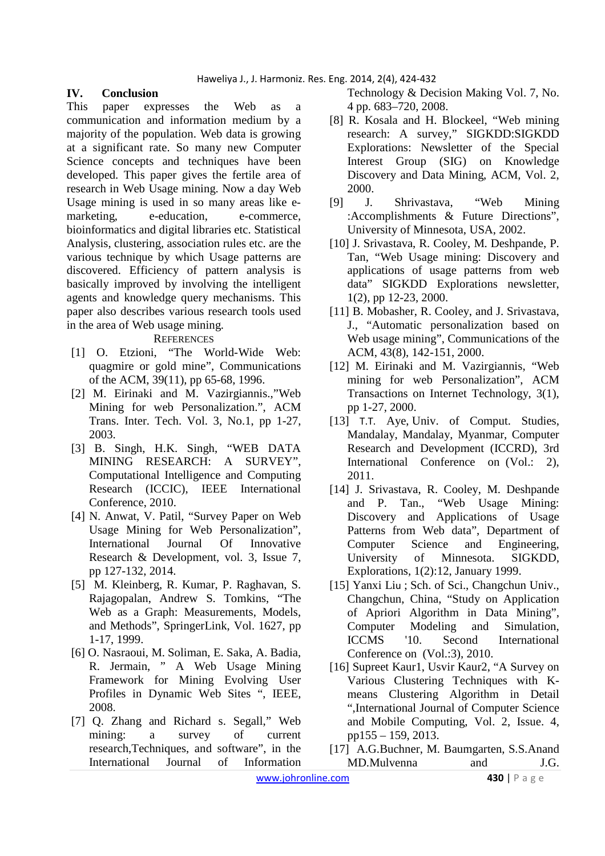## **IV. Conclusion**

This paper expresses the Web as a communication and information medium by a majority of the population. Web data is growing at a significant rate. So many new Computer Science concepts and techniques have been developed. This paper gives the fertile area of research in Web Usage mining. Now a day Web Usage mining is used in so many areas like emarketing, e-education, e-commerce, bioinformatics and digital libraries etc. Statistical Analysis, clustering, association rules etc. are the various technique by which Usage patterns are discovered. Efficiency of pattern analysis is basically improved by involving the intelligent agents and knowledge query mechanisms. This paper also describes various research tools used in the area of Web usage mining.

#### **REFERENCES**

- [1] O. Etzioni, "The World-Wide Web: quagmire or gold mine", Communications of the ACM, 39(11), pp 65-68, 1996.
- [2] M. Eirinaki and M. Vazirgiannis.,"Web Mining for web Personalization.", ACM Trans. Inter. Tech. Vol. 3, No.1, pp 1-27, 2003.
- [3] B. Singh, H.K. Singh, "WEB DATA MINING RESEARCH: A SURVEY", Computational Intelligence and Computing Research (ICCIC), IEEE International Conference, 2010.
- [4] N. Anwat, V. Patil, "Survey Paper on Web Usage Mining for Web Personalization", International Journal Of Innovative Research & Development, vol. 3, Issue 7, pp 127-132, 2014.
- [5] M. Kleinberg, R. Kumar, P. Raghavan, S. Rajagopalan, Andrew S. Tomkins, "The Web as a Graph: Measurements, Models, and Methods", SpringerLink, Vol. 1627, pp 1-17, 1999.
- [6] O. Nasraoui, M. Soliman, E. Saka, A. Badia, R. Jermain, " A Web Usage Mining Framework for Mining Evolving User Profiles in Dynamic Web Sites ", IEEE, 2008.
- [7] Q. Zhang and Richard s. Segall," Web mining: a survey of current research,Techniques, and software", in the International Journal of Information

Technology & Decision Making Vol. 7, No. 4 pp. 683–720, 2008.

- [8] R. Kosala and H. Blockeel, "Web mining research: A survey," SIGKDD:SIGKDD Explorations: Newsletter of the Special Interest Group (SIG) on Knowledge Discovery and Data Mining, ACM, Vol. 2, 2000.
- [9] J. Shrivastava, "Web Mining :Accomplishments & Future Directions", University of Minnesota, USA, 2002.
- [10] J. Srivastava, R. Cooley, M. Deshpande, P. Tan, "Web Usage mining: Discovery and applications of usage patterns from web data" SIGKDD Explorations newsletter, 1(2), pp 12-23, 2000.
- [11] B. Mobasher, R. Cooley, and J. Srivastava, J., "Automatic personalization based on Web usage mining", Communications of the ACM, 43(8), 142-151, 2000.
- [12] M. Eirinaki and M. Vazirgiannis, "Web mining for web Personalization", ACM Transactions on Internet Technology, 3(1), pp 1-27, 2000.
- [13] T.T. Aye, Univ. of Comput. Studies, Mandalay, Mandalay, Myanmar, Computer Research and Development (ICCRD), 3rd International Conference on (Vol.: 2). 2011.
- [14] J. Srivastava, R. Cooley, M. Deshpande and P. Tan., "Web Usage Mining: Discovery and Applications of Usage Patterns from Web data", Department of Computer Science and Engineering, University of Minnesota. SIGKDD, Explorations, 1(2):12, January 1999.
- [15] Yanxi Liu ; Sch. of Sci., Changchun Univ., Changchun, China, "Study on Application of Apriori Algorithm in Data Mining", Computer Modeling and Simulation, ICCMS '10. Second International Conference on (Vol.:3), 2010.
- [16] Supreet Kaur1, Usvir Kaur2, "A Survey on Various Clustering Techniques with Kmeans Clustering Algorithm in Detail ",International Journal of Computer Science and Mobile Computing, Vol. 2, Issue. 4, pp155 – 159, 2013.
- [17] A.G.Buchner, M. Baumgarten, S.S.Anand MD.Mulvenna and J.G.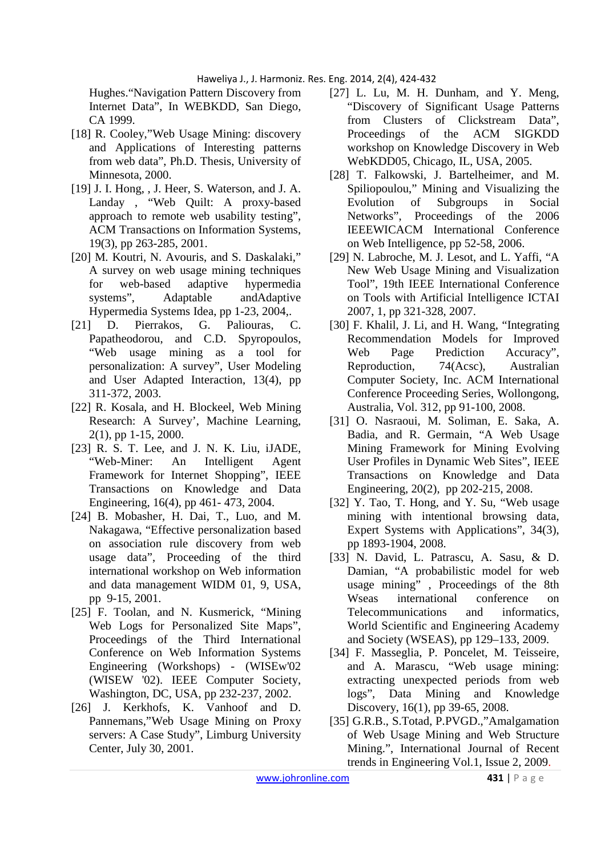Hughes."Navigation Pattern Discovery from Internet Data", In WEBKDD, San Diego, CA 1999.

- [18] R. Cooley,"Web Usage Mining: discovery and Applications of Interesting patterns from web data", Ph.D. Thesis, University of Minnesota, 2000.
- [19] J. I. Hong, , J. Heer, S. Waterson, and J. A. Landay , "Web Quilt: A proxy-based approach to remote web usability testing", ACM Transactions on Information Systems, 19(3), pp 263-285, 2001.
- [20] M. Koutri, N. Avouris, and S. Daskalaki," A survey on web usage mining techniques for web-based adaptive hypermedia systems", Adaptable andAdaptive Hypermedia Systems Idea, pp 1-23, 2004,.
- [21] D. Pierrakos, G. Paliouras, C. Papatheodorou, and C.D. Spyropoulos, "Web usage mining as a tool for personalization: A survey", User Modeling and User Adapted Interaction, 13(4), pp 311-372, 2003.
- [22] R. Kosala, and H. Blockeel, Web Mining Research: A Survey', Machine Learning, 2(1), pp 1-15, 2000.
- [23] R. S. T. Lee, and J. N. K. Liu, iJADE, "Web-Miner: An Intelligent Agent Framework for Internet Shopping", IEEE Transactions on Knowledge and Data Engineering, 16(4), pp 461- 473, 2004.
- [24] B. Mobasher, H. Dai, T., Luo, and M. Nakagawa, "Effective personalization based on association rule discovery from web usage data", Proceeding of the third international workshop on Web information and data management WIDM 01, 9, USA, pp 9-15, 2001.
- [25] F. Toolan, and N. Kusmerick, "Mining" Web Logs for Personalized Site Maps", Proceedings of the Third International Conference on Web Information Systems Engineering (Workshops) - (WISEw'02 (WISEW '02). IEEE Computer Society, Washington, DC, USA, pp 232-237, 2002.
- [26] J. Kerkhofs, K. Vanhoof and D. Pannemans,"Web Usage Mining on Proxy servers: A Case Study", Limburg University Center, July 30, 2001.
- [27] L. Lu, M. H. Dunham, and Y. Meng, "Discovery of Significant Usage Patterns from Clusters of Clickstream Data", Proceedings of the ACM SIGKDD workshop on Knowledge Discovery in Web WebKDD05, Chicago, IL, USA, 2005.
- [28] T. Falkowski, J. Bartelheimer, and M. Spiliopoulou," Mining and Visualizing the Evolution of Subgroups in Social Networks", Proceedings of the 2006 IEEEWICACM International Conference on Web Intelligence, pp 52-58, 2006.
- [29] N. Labroche, M. J. Lesot, and L. Yaffi, "A New Web Usage Mining and Visualization Tool", 19th IEEE International Conference on Tools with Artificial Intelligence ICTAI 2007, 1, pp 321-328, 2007.
- [30] F. Khalil, J. Li, and H. Wang, "Integrating Recommendation Models for Improved Web Page Prediction Accuracy", Reproduction, 74(Acsc), Australian Computer Society, Inc. ACM International Conference Proceeding Series, Wollongong, Australia, Vol. 312, pp 91-100, 2008.
- [31] O. Nasraoui, M. Soliman, E. Saka, A. Badia, and R. Germain, "A Web Usage Mining Framework for Mining Evolving User Profiles in Dynamic Web Sites", IEEE Transactions on Knowledge and Data Engineering, 20(2), pp 202-215, 2008.
- [32] Y. Tao, T. Hong, and Y. Su, "Web usage mining with intentional browsing data, Expert Systems with Applications", 34(3), pp 1893-1904, 2008.
- [33] N. David, L. Patrascu, A. Sasu, & D. Damian, "A probabilistic model for web usage mining" , Proceedings of the 8th Wseas international conference on Telecommunications and informatics, World Scientific and Engineering Academy and Society (WSEAS), pp 129–133, 2009.
- [34] F. Masseglia, P. Poncelet, M. Teisseire, and A. Marascu, "Web usage mining: extracting unexpected periods from web logs", Data Mining and Knowledge Discovery, 16(1), pp 39-65, 2008.
- [35] G.R.B., S.Totad, P.PVGD.,"Amalgamation of Web Usage Mining and Web Structure Mining.", International Journal of Recent trends in Engineering Vol.1, Issue 2, 2009.